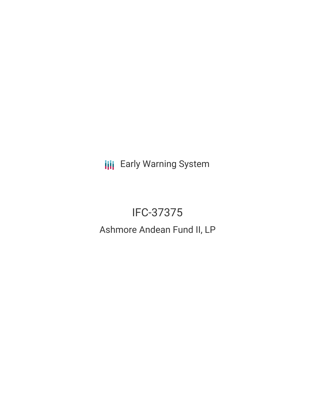**III** Early Warning System

# IFC-37375

# Ashmore Andean Fund II, LP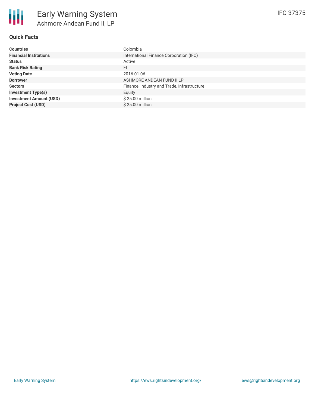

# **Quick Facts**

| <b>Countries</b>               | Colombia                                    |
|--------------------------------|---------------------------------------------|
| <b>Financial Institutions</b>  | International Finance Corporation (IFC)     |
| <b>Status</b>                  | Active                                      |
| <b>Bank Risk Rating</b>        | FI                                          |
| <b>Voting Date</b>             | 2016-01-06                                  |
| <b>Borrower</b>                | ASHMORE ANDEAN FUND II LP                   |
| <b>Sectors</b>                 | Finance, Industry and Trade, Infrastructure |
| <b>Investment Type(s)</b>      | Equity                                      |
| <b>Investment Amount (USD)</b> | $$25.00$ million                            |
| <b>Project Cost (USD)</b>      | \$25.00 million                             |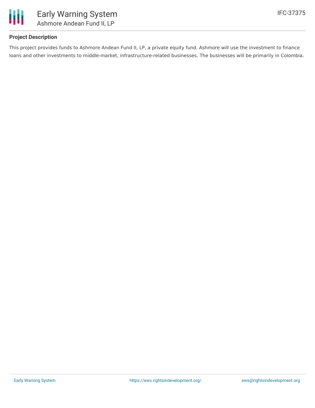

# **Project Description**

This project provides funds to Ashmore Andean Fund II, LP, a private equity fund. Ashmore will use the investment to finance loans and other investments to middle-market, infrastructure-related businesses. The businesses will be primarily in Colombia.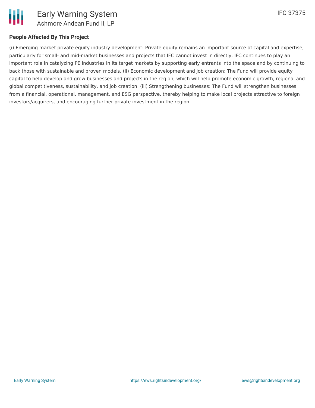

## **People Affected By This Project**

(i) Emerging market private equity industry development: Private equity remains an important source of capital and expertise, particularly for small- and mid-market businesses and projects that IFC cannot invest in directly. IFC continues to play an important role in catalyzing PE industries in its target markets by supporting early entrants into the space and by continuing to back those with sustainable and proven models. (ii) Economic development and job creation: The Fund will provide equity capital to help develop and grow businesses and projects in the region, which will help promote economic growth, regional and global competitiveness, sustainability, and job creation. (iii) Strengthening businesses: The Fund will strengthen businesses from a financial, operational, management, and ESG perspective, thereby helping to make local projects attractive to foreign investors/acquirers, and encouraging further private investment in the region.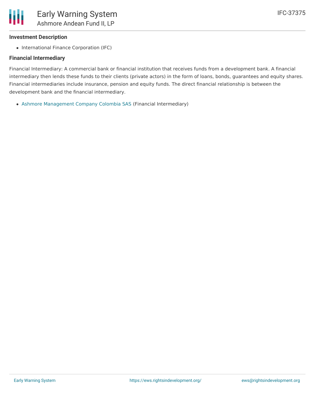#### **Investment Description**

• International Finance Corporation (IFC)

#### **Financial Intermediary**

Financial Intermediary: A commercial bank or financial institution that receives funds from a development bank. A financial intermediary then lends these funds to their clients (private actors) in the form of loans, bonds, guarantees and equity shares. Financial intermediaries include insurance, pension and equity funds. The direct financial relationship is between the development bank and the financial intermediary.

Ashmore [Management](file:///actor/996/) Company Colombia SAS (Financial Intermediary)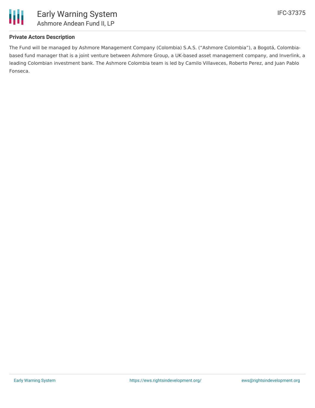

# **Private Actors Description**

The Fund will be managed by Ashmore Management Company (Colombia) S.A.S. ("Ashmore Colombia"), a Bogotá, Colombiabased fund manager that is a joint venture between Ashmore Group, a UK-based asset management company, and Inverlink, a leading Colombian investment bank. The Ashmore Colombia team is led by Camilo Villaveces, Roberto Perez, and Juan Pablo Fonseca.